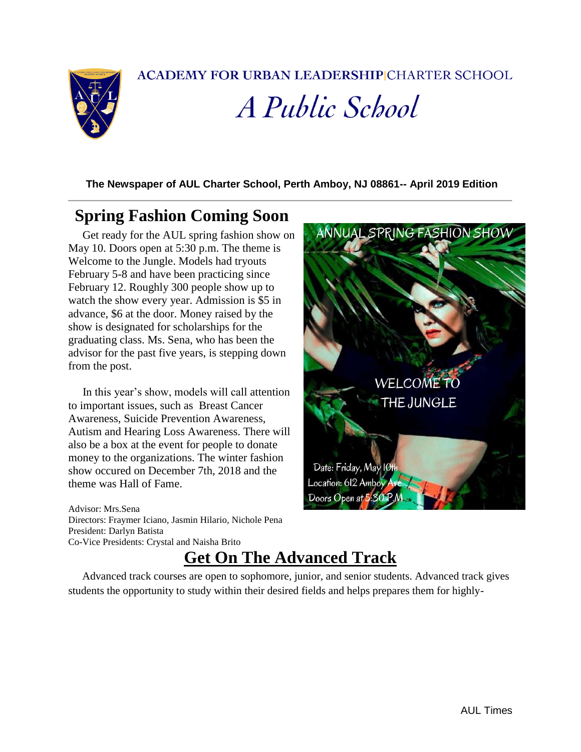**ACADEMY FOR URBAN LEADERSHIP CHARTER SCHOOL** 



*A Public School* 

**The Newspaper of AUL Charter School, Perth Amboy, NJ 08861-- April 2019 Edition**

## **Spring Fashion Coming Soon**

 Get ready for the AUL spring fashion show on May 10. Doors open at 5:30 p.m. The theme is Welcome to the Jungle. Models had tryouts February 5-8 and have been practicing since February 12. Roughly 300 people show up to watch the show every year. Admission is \$5 in advance, \$6 at the door. Money raised by the show is designated for scholarships for the graduating class. Ms. Sena, who has been the advisor for the past five years, is stepping down from the post.

 In this year's show, models will call attention to important issues, such as Breast Cancer Awareness, Suicide Prevention Awareness, Autism and Hearing Loss Awareness. There will also be a box at the event for people to donate money to the organizations. The winter fashion show occured on December 7th, 2018 and the theme was Hall of Fame.

Advisor: Mrs.Sena Directors: Fraymer Iciano, Jasmin Hilario, Nichole Pena President: Darlyn Batista Co-Vice Presidents: Crystal and Naisha Brito



## **Get On The Advanced Track**

 Advanced track courses are open to sophomore, junior, and senior students. Advanced track gives students the opportunity to study within their desired fields and helps prepares them for highly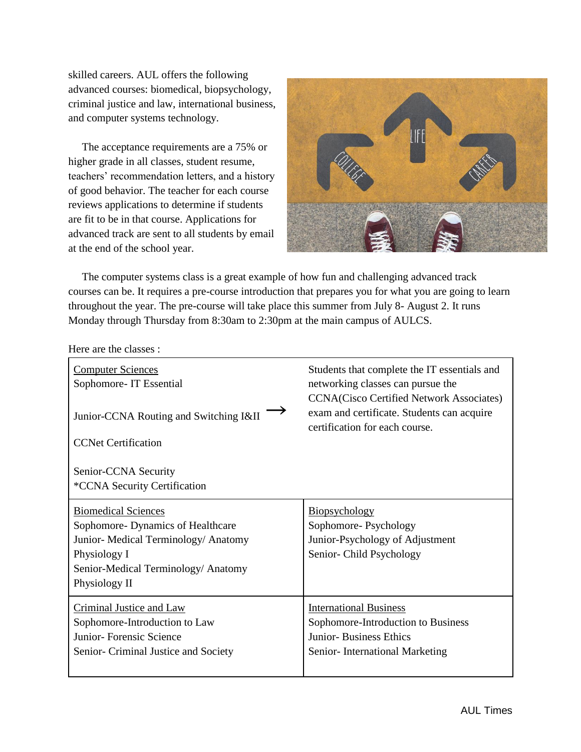skilled careers. AUL offers the following advanced courses: biomedical, biopsychology, criminal justice and law, international business, and computer systems technology.

 The acceptance requirements are a 75% or higher grade in all classes, student resume, teachers' recommendation letters, and a history of good behavior. The teacher for each course reviews applications to determine if students are fit to be in that course. Applications for advanced track are sent to all students by email at the end of the school year.



 The computer systems class is a great example of how fun and challenging advanced track courses can be. It requires a pre-course introduction that prepares you for what you are going to learn throughout the year. The pre-course will take place this summer from July 8- August 2. It runs Monday through Thursday from 8:30am to 2:30pm at the main campus of AULCS.

Here are the classes :

| <b>Computer Sciences</b><br>Sophomore-IT Essential | Students that complete the IT essentials and<br>networking classes can pursue the<br><b>CCNA(Cisco Certified Network Associates)</b> |
|----------------------------------------------------|--------------------------------------------------------------------------------------------------------------------------------------|
| Junior-CCNA Routing and Switching I&II             | exam and certificate. Students can acquire<br>certification for each course.                                                         |
| <b>CCNet Certification</b>                         |                                                                                                                                      |
| Senior-CCNA Security                               |                                                                                                                                      |
| *CCNA Security Certification                       |                                                                                                                                      |
| <b>Biomedical Sciences</b>                         | Biopsychology                                                                                                                        |
| Sophomore-Dynamics of Healthcare                   | Sophomore-Psychology                                                                                                                 |
| Junior-Medical Terminology/Anatomy                 | Junior-Psychology of Adjustment                                                                                                      |
| Physiology I                                       | Senior-Child Psychology                                                                                                              |
| Senior-Medical Terminology/ Anatomy                |                                                                                                                                      |
| Physiology II                                      |                                                                                                                                      |
|                                                    |                                                                                                                                      |
| Criminal Justice and Law                           | <b>International Business</b>                                                                                                        |
| Sophomore-Introduction to Law                      | Sophomore-Introduction to Business                                                                                                   |
| Junior- Forensic Science                           | <b>Junior-Business Ethics</b>                                                                                                        |
| Senior- Criminal Justice and Society               | Senior-International Marketing                                                                                                       |
|                                                    |                                                                                                                                      |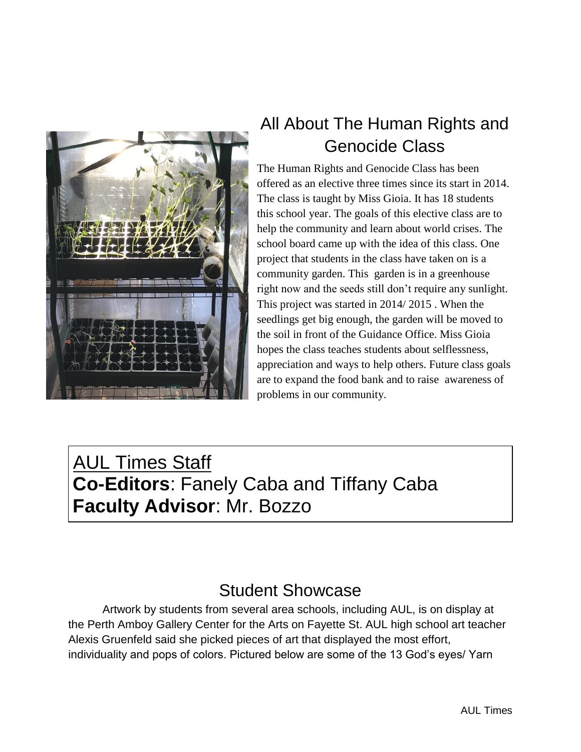

## All About The Human Rights and Genocide Class

The Human Rights and Genocide Class has been offered as an elective three times since its start in 2014. The class is taught by Miss Gioia. It has 18 students this school year. The goals of this elective class are to help the community and learn about world crises. The school board came up with the idea of this class. One project that students in the class have taken on is a community garden. This garden is in a greenhouse right now and the seeds still don't require any sunlight. This project was started in 2014/ 2015 . When the seedlings get big enough, the garden will be moved to the soil in front of the Guidance Office. Miss Gioia hopes the class teaches students about selflessness, appreciation and ways to help others. Future class goals are to expand the food bank and to raise awareness of problems in our community.

AUL Times Staff **Co-Editors**: Fanely Caba and Tiffany Caba **Faculty Advisor**: Mr. Bozzo

## Student Showcase

Artwork by students from several area schools, including AUL, is on display at the Perth Amboy Gallery Center for the Arts on Fayette St. AUL high school art teacher Alexis Gruenfeld said she picked pieces of art that displayed the most effort, individuality and pops of colors. Pictured below are some of the 13 God's eyes/ Yarn